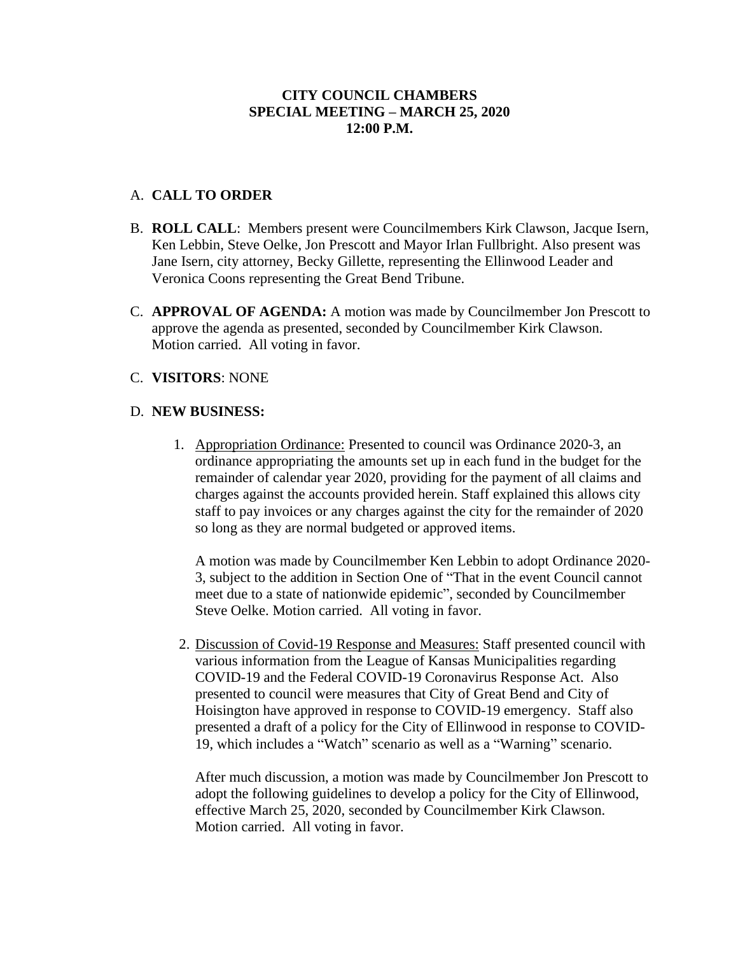## **CITY COUNCIL CHAMBERS SPECIAL MEETING – MARCH 25, 2020 12:00 P.M.**

## A. **CALL TO ORDER**

- B. **ROLL CALL**: Members present were Councilmembers Kirk Clawson, Jacque Isern, Ken Lebbin, Steve Oelke, Jon Prescott and Mayor Irlan Fullbright. Also present was Jane Isern, city attorney, Becky Gillette, representing the Ellinwood Leader and Veronica Coons representing the Great Bend Tribune.
- C. **APPROVAL OF AGENDA:** A motion was made by Councilmember Jon Prescott to approve the agenda as presented, seconded by Councilmember Kirk Clawson. Motion carried. All voting in favor.

#### C. **VISITORS**: NONE

#### D. **NEW BUSINESS:**

1. Appropriation Ordinance: Presented to council was Ordinance 2020-3, an ordinance appropriating the amounts set up in each fund in the budget for the remainder of calendar year 2020, providing for the payment of all claims and charges against the accounts provided herein. Staff explained this allows city staff to pay invoices or any charges against the city for the remainder of 2020 so long as they are normal budgeted or approved items.

A motion was made by Councilmember Ken Lebbin to adopt Ordinance 2020- 3, subject to the addition in Section One of "That in the event Council cannot meet due to a state of nationwide epidemic", seconded by Councilmember Steve Oelke. Motion carried. All voting in favor.

2. Discussion of Covid-19 Response and Measures: Staff presented council with various information from the League of Kansas Municipalities regarding COVID-19 and the Federal COVID-19 Coronavirus Response Act. Also presented to council were measures that City of Great Bend and City of Hoisington have approved in response to COVID-19 emergency. Staff also presented a draft of a policy for the City of Ellinwood in response to COVID-19, which includes a "Watch" scenario as well as a "Warning" scenario.

After much discussion, a motion was made by Councilmember Jon Prescott to adopt the following guidelines to develop a policy for the City of Ellinwood, effective March 25, 2020, seconded by Councilmember Kirk Clawson. Motion carried. All voting in favor.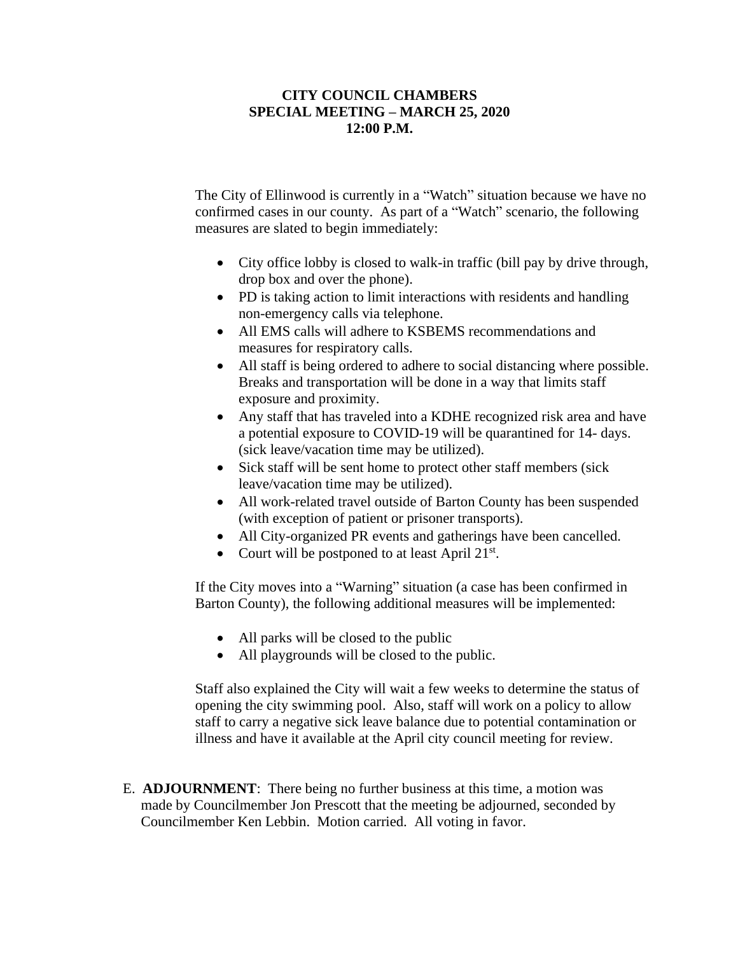## **CITY COUNCIL CHAMBERS SPECIAL MEETING – MARCH 25, 2020 12:00 P.M.**

The City of Ellinwood is currently in a "Watch" situation because we have no confirmed cases in our county. As part of a "Watch" scenario, the following measures are slated to begin immediately:

- City office lobby is closed to walk-in traffic (bill pay by drive through, drop box and over the phone).
- PD is taking action to limit interactions with residents and handling non-emergency calls via telephone.
- All EMS calls will adhere to KSBEMS recommendations and measures for respiratory calls.
- All staff is being ordered to adhere to social distancing where possible. Breaks and transportation will be done in a way that limits staff exposure and proximity.
- Any staff that has traveled into a KDHE recognized risk area and have a potential exposure to COVID-19 will be quarantined for 14- days. (sick leave/vacation time may be utilized).
- Sick staff will be sent home to protect other staff members (sick leave/vacation time may be utilized).
- All work-related travel outside of Barton County has been suspended (with exception of patient or prisoner transports).
- All City-organized PR events and gatherings have been cancelled.
- Court will be postponed to at least April 21<sup>st</sup>.

If the City moves into a "Warning" situation (a case has been confirmed in Barton County), the following additional measures will be implemented:

- All parks will be closed to the public
- All playgrounds will be closed to the public.

Staff also explained the City will wait a few weeks to determine the status of opening the city swimming pool. Also, staff will work on a policy to allow staff to carry a negative sick leave balance due to potential contamination or illness and have it available at the April city council meeting for review.

 E. **ADJOURNMENT**: There being no further business at this time, a motion was made by Councilmember Jon Prescott that the meeting be adjourned, seconded by Councilmember Ken Lebbin. Motion carried. All voting in favor.